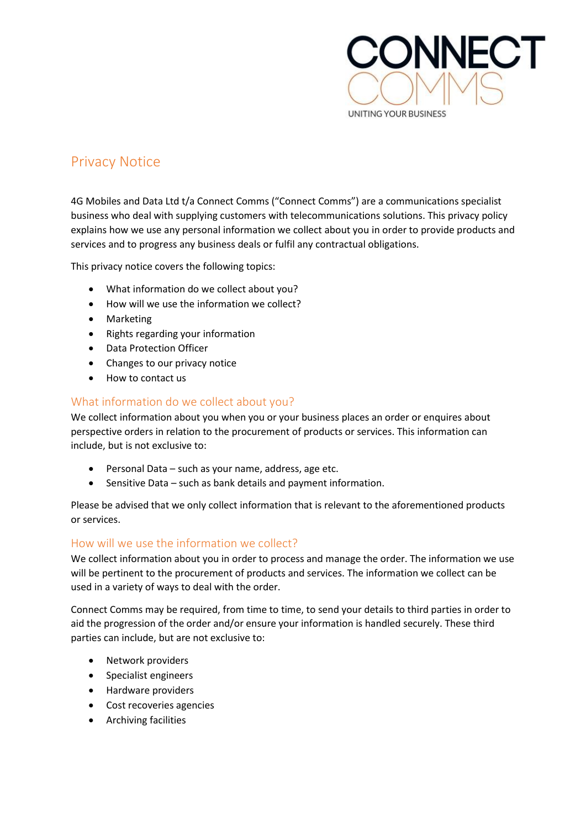

# Privacy Notice

4G Mobiles and Data Ltd t/a Connect Comms ("Connect Comms") are a communications specialist business who deal with supplying customers with telecommunications solutions. This privacy policy explains how we use any personal information we collect about you in order to provide products and services and to progress any business deals or fulfil any contractual obligations.

This privacy notice covers the following topics:

- What information do we collect about you?
- How will we use the information we collect?
- Marketing
- Rights regarding your information
- Data Protection Officer
- Changes to our privacy notice
- How to contact us

## What information do we collect about you?

We collect information about you when you or your business places an order or enquires about perspective orders in relation to the procurement of products or services. This information can include, but is not exclusive to:

- Personal Data such as your name, address, age etc.
- Sensitive Data such as bank details and payment information.

Please be advised that we only collect information that is relevant to the aforementioned products or services.

## How will we use the information we collect?

We collect information about you in order to process and manage the order. The information we use will be pertinent to the procurement of products and services. The information we collect can be used in a variety of ways to deal with the order.

Connect Comms may be required, from time to time, to send your details to third parties in order to aid the progression of the order and/or ensure your information is handled securely. These third parties can include, but are not exclusive to:

- Network providers
- Specialist engineers
- Hardware providers
- Cost recoveries agencies
- Archiving facilities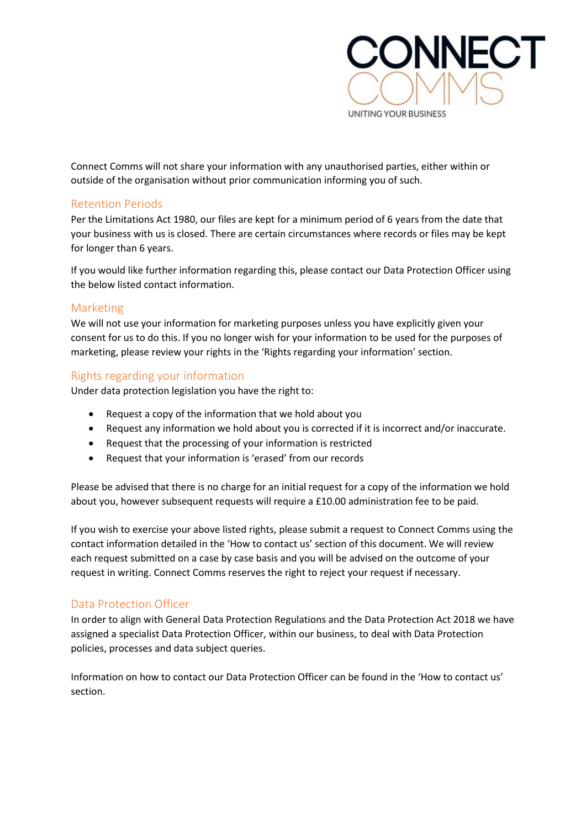

Connect Comms will not share your information with any unauthorised parties, either within or outside of the organisation without prior communication informing you of such.

## Retention Periods

Per the Limitations Act 1980, our files are kept for a minimum period of 6 years from the date that your business with us is closed. There are certain circumstances where records or files may be kept for longer than 6 years.

If you would like further information regarding this, please contact our Data Protection Officer using the below listed contact information.

## Marketing

We will not use your information for marketing purposes unless you have explicitly given your consent for us to do this. If you no longer wish for your information to be used for the purposes of marketing, please review your rights in the 'Rights regarding your information' section.

## Rights regarding your information

Under data protection legislation you have the right to:

- Request a copy of the information that we hold about you
- Request any information we hold about you is corrected if it is incorrect and/or inaccurate.
- Request that the processing of your information is restricted
- Request that your information is 'erased' from our records

Please be advised that there is no charge for an initial request for a copy of the information we hold about you, however subsequent requests will require a £10.00 administration fee to be paid.

If you wish to exercise your above listed rights, please submit a request to Connect Comms using the contact information detailed in the 'How to contact us' section of this document. We will review each request submitted on a case by case basis and you will be advised on the outcome of your request in writing. Connect Comms reserves the right to reject your request if necessary.

# Data Protection Officer

In order to align with General Data Protection Regulations and the Data Protection Act 2018 we have assigned a specialist Data Protection Officer, within our business, to deal with Data Protection policies, processes and data subject queries.

Information on how to contact our Data Protection Officer can be found in the 'How to contact us' section.